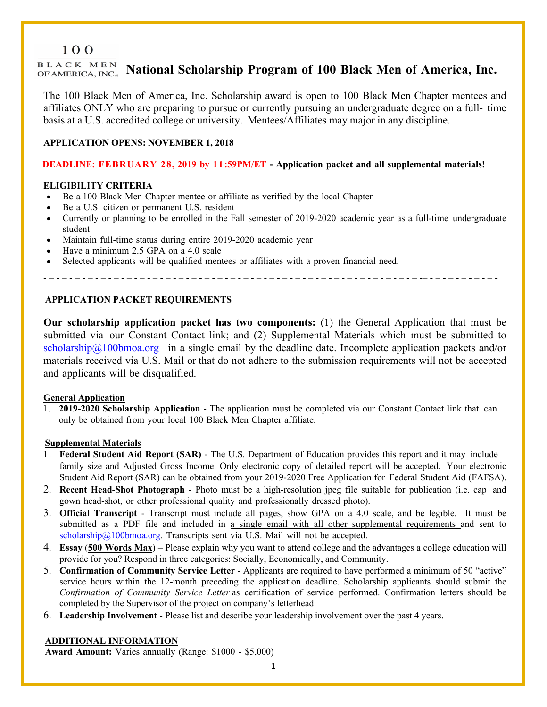# 100

BLACK MEN **National Scholarship Program of 100 Black Men of America, Inc.**

The 100 Black Men of America, Inc. Scholarship award is open to 100 Black Men Chapter mentees and affiliates ONLY who are preparing to pursue or currently pursuing an undergraduate degree on a full- time basis at a U.S. accredited college or university. Mentees/Affiliates may major in any discipline.

# **APPLICATION OPENS: NOVEMBER 1, 2018**

# **DEADLINE: FEBRUARY 28, 2019 by 11:59PM/ET - Application packet and all supplemental materials!**

# **ELIGIBILITY CRITERIA**

- Be a 100 Black Men Chapter mentee or affiliate as verified by the local Chapter
- Be a U.S. citizen or permanent U.S. resident
- Currently or planning to be enrolled in the Fall semester of 2019-2020 academic year as a full-time undergraduate student
- Maintain full-time status during entire 2019-2020 academic year
- Have a minimum 2.5 GPA on a 4.0 scale
- Selected applicants will be qualified mentees or affiliates with a proven financial need.

- – - – - – - – - – - – - – - – - – - – - – - – - – - – - – - – - – - – - – - – - – - – - – - – - – - – - – - – - – -– - – - – - – - – - – -

# **APPLICATION PACKET REQUIREMENTS**

**Our scholarship application packet has two components:** (1) the General Application that must be submitted via our Constant Contact link; and (2) Supplemental Materials which must be submitted to  $scholarship@100bmoa.org$  in a single email by the deadline date. Incomplete application packets and/or materials received via U.S. Mail or that do not adhere to the submission requirements will not be accepted and applicants will be disqualified.

# **General Application**

1. **2019-2020 Scholarship Application** - The application must be completed via our Constant Contact link that can only be obtained from your local 100 Black Men Chapter affiliate.

# **Supplemental Materials**

- 1. **Federal Student Aid Report (SAR)** The U.S. Department of Education provides this report and it may include family size and Adjusted Gross Income. Only electronic copy of detailed report will be accepted. Your electronic Student Aid Report (SAR) can be obtained from your 2019-2020 Free Application for Federal Student Aid (FAFSA).
- 2. **Recent Head-Shot Photograph** Photo must be a high-resolution jpeg file suitable for publication (i.e. cap and gown head-shot, or other professional quality and professionally dressed photo).
- 3. **Official Transcript** Transcript must include all pages, show GPA on a 4.0 scale, and be legible. It must be submitted as a PDF file and included in <u>a single email with all other supplemental requirements</u> and sent to scholarship@100bmoa.org. Transcripts sent via U.S. Mail will not be accepted.
- 4. **Essay** (**500 Words Max**) Please explain why you want to attend college and the advantages a college education will provide for you? Respond in three categories: Socially, Economically, and Community.
- 5. **Confirmation of Community Service Letter** Applicants are required to have performed a minimum of 50 "active" service hours within the 12-month preceding the application deadline. Scholarship applicants should submit the *Confirmation of Community Service Letter* as certification of service performed. Confirmation letters should be completed by the Supervisor of the project on company's letterhead.
- 6. **Leadership Involvement** Please list and describe your leadership involvement over the past 4 years.

# **ADDITIONAL INFORMATION**

**Award Amount:** Varies annually (Range: \$1000 - \$5,000)